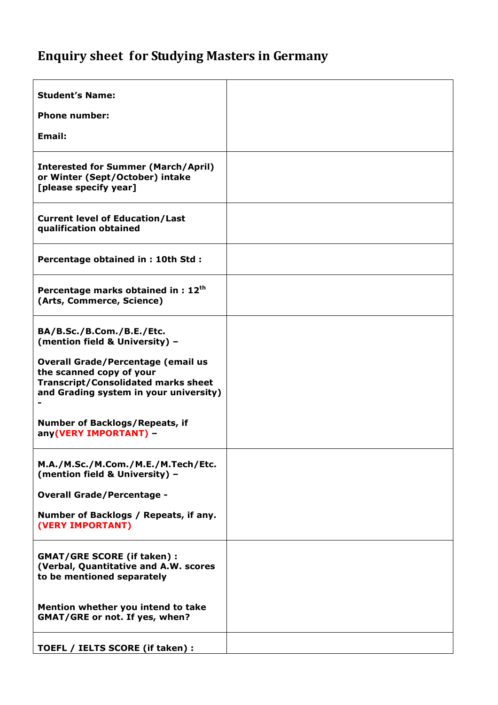## Enquiry sheet for Studying Masters in Germany

| <b>Student's Name:</b>                                                                                                                                        |  |
|---------------------------------------------------------------------------------------------------------------------------------------------------------------|--|
| <b>Phone number:</b>                                                                                                                                          |  |
| <b>Email:</b>                                                                                                                                                 |  |
|                                                                                                                                                               |  |
| <b>Interested for Summer (March/April)</b><br>or Winter (Sept/October) intake<br>[please specify year]                                                        |  |
| <b>Current level of Education/Last</b><br>qualification obtained                                                                                              |  |
| Percentage obtained in: 10th Std:                                                                                                                             |  |
| Percentage marks obtained in : 12 <sup>th</sup><br>(Arts, Commerce, Science)                                                                                  |  |
| BA/B.Sc./B.Com./B.E./Etc.<br>(mention field & University) -                                                                                                   |  |
| <b>Overall Grade/Percentage (email us</b><br>the scanned copy of your<br><b>Transcript/Consolidated marks sheet</b><br>and Grading system in your university) |  |
| <b>Number of Backlogs/Repeats, if</b><br>any(VERY IMPORTANT) -                                                                                                |  |
| M.A./M.Sc./M.Com./M.E./M.Tech/Etc.<br>(mention field & University) -                                                                                          |  |
| <b>Overall Grade/Percentage -</b>                                                                                                                             |  |
| Number of Backlogs / Repeats, if any.<br>(VERY IMPORTANT)                                                                                                     |  |
| <b>GMAT/GRE SCORE (if taken):</b><br>(Verbal, Quantitative and A.W. scores<br>to be mentioned separately                                                      |  |
| Mention whether you intend to take<br><b>GMAT/GRE or not. If yes, when?</b>                                                                                   |  |
| TOEFL / IELTS SCORE (if taken) :                                                                                                                              |  |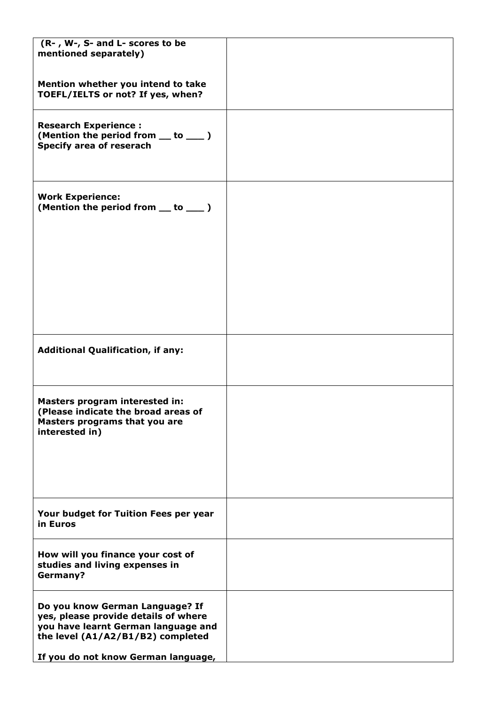| (R-, W-, S- and L- scores to be<br>mentioned separately)                                                                                                                                   |  |
|--------------------------------------------------------------------------------------------------------------------------------------------------------------------------------------------|--|
| Mention whether you intend to take<br>TOEFL/IELTS or not? If yes, when?                                                                                                                    |  |
| <b>Research Experience:</b><br>(Mention the period from __ to __ )<br>Specify area of reserach                                                                                             |  |
| <b>Work Experience:</b><br>(Mention the period from __ to ___ )                                                                                                                            |  |
|                                                                                                                                                                                            |  |
| <b>Additional Qualification, if any:</b>                                                                                                                                                   |  |
| Masters program interested in:<br>(Please indicate the broad areas of<br>Masters programs that you are<br>interested in)                                                                   |  |
| Your budget for Tuition Fees per year<br>in Euros                                                                                                                                          |  |
| How will you finance your cost of<br>studies and living expenses in<br><b>Germany?</b>                                                                                                     |  |
| Do you know German Language? If<br>yes, please provide details of where<br>you have learnt German language and<br>the level (A1/A2/B1/B2) completed<br>If you do not know German language, |  |